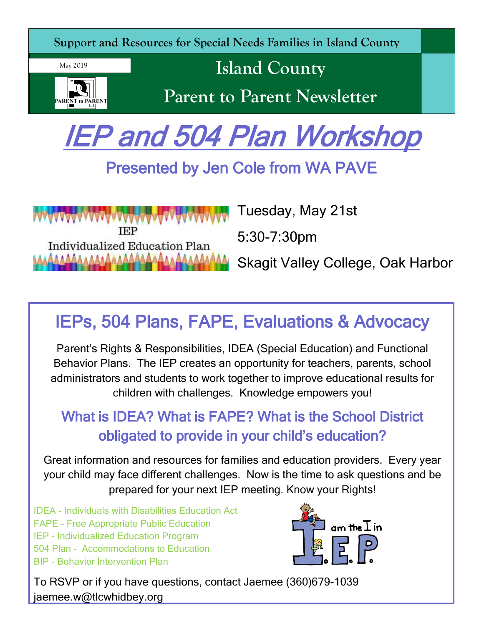**Support and Resources for Special Needs Families in Island County**

May 2019



**Island County** 

**Parent to Parent Newsletter**



# Presented by Jen Cole from WA PAVE



Tuesday, May 21st

5:30-7:30pm

Skagit Valley College, Oak Harbor

# IEPs, 504 Plans, FAPE, Evaluations & Advocacy

Parent's Rights & Responsibilities, IDEA (Special Education) and Functional Behavior Plans. The IEP creates an opportunity for teachers, parents, school administrators and students to work together to improve educational results for children with challenges. Knowledge empowers you!

# What is IDEA? What is FAPE? What is the School District obligated to provide in your child's education?

Great information and resources for families and education providers. Every year your child may face different challenges. Now is the time to ask questions and be prepared for your next IEP meeting. Know your Rights!

IDEA - Individuals with Disabilities Education Act FAPE - Free Appropriate Public Education IEP - Individualized Education Program 504 Plan - Accommodations to Education BIP - Behavior Intervention Plan



To RSVP or if you have questions, contact Jaemee (360)679-1039 jaemee.w@tlcwhidbey.org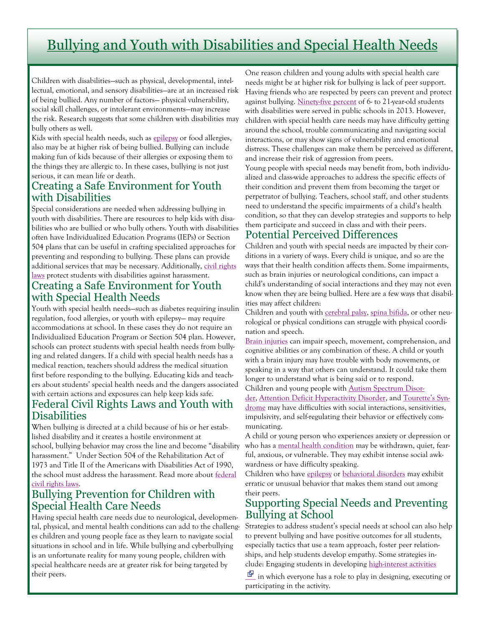# Bullying and Youth with Disabilities and Special Health Needs

Children with disabilities—such as physical, developmental, intellectual, emotional, and sensory disabilities—are at an increased risk of being bullied. Any number of factors— physical vulnerability, social skill challenges, or intolerant environments—may increase the risk. Research suggests that some children with disabilities may bully others as well.

Kids with special health needs, such as [epilepsy](https://www.stopbullying.gov/blog/2017/07/12/long-pause-was-really-seizure-understanding-epilepsy-and-bullying.html) or food allergies, also may be at higher risk of being bullied. Bullying can include making fun of kids because of their allergies or exposing them to the things they are allergic to. In these cases, bullying is not just serious, it can mean life or death.

#### Creating a Safe Environment for Youth with Disabilities

Special considerations are needed when addressing bullying in youth with disabilities. There are resources to help kids with disabilities who are bullied or who bully others. Youth with disabilities often have Individualized Education Programs (IEPs) or Section 504 plans that can be useful in crafting specialized approaches for preventing and responding to bullying. These plans can provide additional services that may be necessary. Additionally, [civil rights](https://www.stopbullying.gov/laws/federal/index.html#civil)  [laws](https://www.stopbullying.gov/laws/federal/index.html#civil) protect students with disabilities against harassment.

## Creating a Safe Environment for Youth with Special Health Needs

Youth with special health needs—such as diabetes requiring insulin regulation, food allergies, or youth with epilepsy— may require accommodations at school. In these cases they do not require an Individualized Education Program or Section 504 plan. However, schools can protect students with special health needs from bullying and related dangers. If a child with special health needs has a medical reaction, teachers should address the medical situation first before responding to the bullying. Educating kids and teachers about students' special health needs and the dangers associated with certain actions and exposures can help keep kids safe.

## Federal Civil Rights Laws and Youth with Disabilities

When bullying is directed at a child because of his or her established disability and it creates a hostile environment at school, bullying behavior may cross the line and become "disability harassment." Under Section 504 of the Rehabilitation Act of 1973 and Title II of the Americans with Disabilities Act of 1990, the school must address the harassment. Read more about [federal](https://www.stopbullying.gov/laws/federal/index.html#civil)  [civil rights laws.](https://www.stopbullying.gov/laws/federal/index.html#civil)

#### Bullying Prevention for Children with Special Health Care Needs

Having special health care needs due to neurological, developmental, physical, and mental health conditions can add to the challenges children and young people face as they learn to navigate social situations in school and in life. While bullying and cyberbullying is an unfortunate reality for many young people, children with special healthcare needs are at greater risk for being targeted by their peers.

One reason children and young adults with special health care needs might be at higher risk for bullying is lack of peer support. Having friends who are respected by peers can prevent and protect against bullying. [Ninety-five percent](https://nces.ed.gov/fastfacts/display.asp?id=59) of 6- to 21-year-old students with disabilities were served in public schools in 2013. However, children with special health care needs may have difficulty getting around the school, trouble communicating and navigating social interactions, or may show signs of vulnerability and emotional distress. These challenges can make them be perceived as different, and increase their risk of aggression from peers.

Young people with special needs may benefit from, both individualized and class-wide approaches to address the specific effects of their condition and prevent them from becoming the target or perpetrator of bullying. Teachers, school staff, and other students need to understand the specific impairments of a child's health condition, so that they can develop strategies and supports to help them participate and succeed in class and with their peers.

#### Potential Perceived Differences

Children and youth with special needs are impacted by their conditions in a variety of ways. Every child is unique, and so are the ways that their health condition affects them. Some impairments, such as brain injuries or neurological conditions, can impact a child's understanding of social interactions and they may not even know when they are being bullied. Here are a few ways that disabilities may affect children:

Children and youth with [cerebral palsy,](https://www.cdc.gov/ncbddd/cp/index.html) [spina bifida,](https://www.cdc.gov/ncbddd/spinabifida/) or other neurological or physical conditions can struggle with physical coordination and speech.

[Brain injuries](https://www.cdc.gov/traumaticbraininjury/) can impair speech, movement, comprehension, and cognitive abilities or any combination of these. A child or youth with a brain injury may have trouble with body movements, or speaking in a way that others can understand. It could take them longer to understand what is being said or to respond. Children and young people with [Autism Spectrum Disor-](https://www.cdc.gov/ncbddd/tourette/)

[der,](https://www.cdc.gov/ncbddd/tourette/) [Attention Deficit Hyperactivity Disorder,](https://www.cdc.gov/ncbddd/adhd/) and [Tourette's Syn](https://www.cdc.gov/ncbddd/tourette/)[drome](https://www.cdc.gov/ncbddd/tourette/) may have difficulties with social interactions, sensitivities, impulsivity, and self-regulating their behavior or effectively communicating.

A child or young person who experiences anxiety or depression or who has a [mental health condition](https://www.samhsa.gov/disorders/mental) may be withdrawn, quiet, fearful, anxious, or vulnerable. They may exhibit intense social awkwardness or have difficulty speaking.

Children who have [epilepsy](https://www.cdc.gov/epilepsy/index.html) or [behavioral disorders](https://www.cdc.gov/childrensmentalhealth/behavior.html) may exhibit erratic or unusual behavior that makes them stand out among their peers.

#### Supporting Special Needs and Preventing Bullying at School

Strategies to address student's special needs at school can also help to prevent bullying and have positive outcomes for all students, especially tactics that use a team approach, foster peer relationships, and help students develop empathy. Some strategies include: Engaging students in developing [high-interest activities](https://www2.waisman.wisc.edu/naturalsupports/pdfs/TASH_Friendship_Matters_2008.pdf)

 $\mathbb{E}$  in which everyone has a role to play in designing, executing or participating in the activity.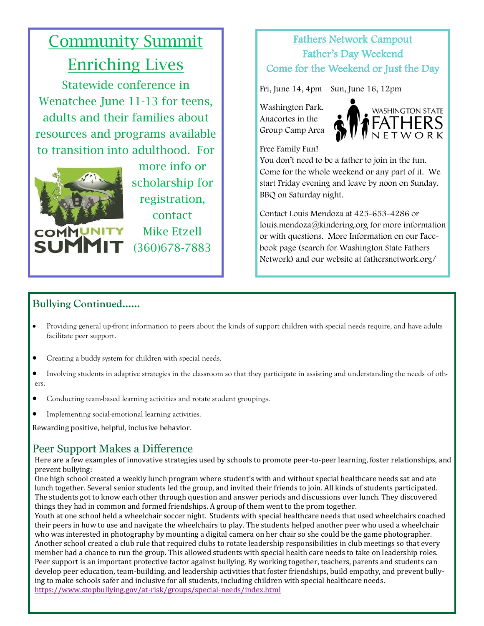# Community Summit Enriching Lives

Statewide conference in Wenatchee June 11-13 for teens, adults and their families about resources and programs available to transition into adulthood. For



SUM

more info or scholarship for registration, contact Mike Etzell (360)678-7883

## Fathers Network Campout Father's Day Weekend Come for the Weekend or Just the Day

Fri, June 14, 4pm – Sun, June 16, 12pm

Washington Park. Anacortes in the Group Camp Area



Free Family Fun! You don't need to be a father to join in the fun. Come for the whole weekend or any part of it. We start Friday evening and leave by noon on Sunday. BBQ on Saturday night.

Contact Louis Mendoza at 425-653-4286 or louis.mendoza@kindering.org for more information or with questions. More Information on our Facebook page (search for Washington State Fathers Network) and our website at fathersnetwork.org/

## **Bullying Continued……**

- Providing general up-front information to peers about the kinds of support children with special needs require, and have adults facilitate peer support.
- Creating a buddy system for children with special needs.
- Involving students in adaptive strategies in the classroom so that they participate in assisting and understanding the needs of others.
- Conducting team-based learning activities and rotate student groupings.
- Implementing social-emotional learning activities.

Rewarding positive, helpful, inclusive behavior.

## Peer Support Makes a Difference

Here are a few examples of innovative strategies used by schools to promote peer-to-peer learning, foster relationships, and prevent bullying:

One high school created a weekly lunch program where student's with and without special healthcare needs sat and ate lunch together. Several senior students led the group, and invited their friends to join. All kinds of students participated. The students got to know each other through question and answer periods and discussions over lunch. They discovered things they had in common and formed friendships. A group of them went to the prom together.

Youth at one school held a wheelchair soccer night. Students with special healthcare needs that used wheelchairs coached their peers in how to use and navigate the wheelchairs to play. The students helped another peer who used a wheelchair who was interested in photography by mounting a digital camera on her chair so she could be the game photographer. Another school created a club rule that required clubs to rotate leadership responsibilities in club meetings so that every member had a chance to run the group. This allowed students with special health care needs to take on leadership roles. Peer support is an important protective factor against bullying. By working together, teachers, parents and students can develop peer education, team-building, and leadership activities that foster friendships, build empathy, and prevent bullying to make schools safer and inclusive for all students, including children with special healthcare needs. [https://www.stopbullying.gov/at](https://www.stopbullying.gov/at-risk/groups/special-needs/index.html)-risk/groups/special-needs/index.html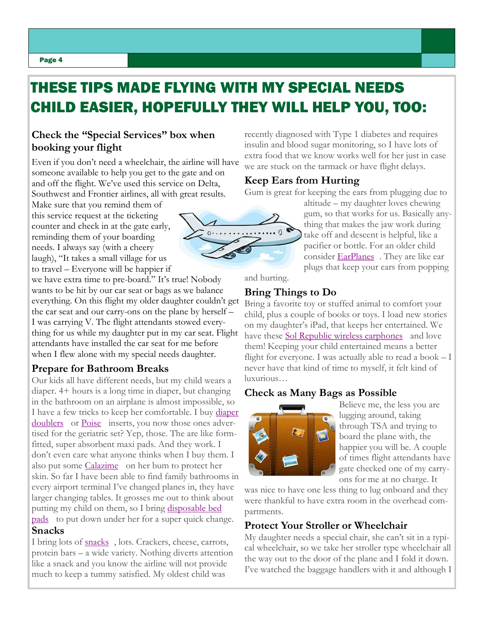# THESE TIPS MADE FLYING WITH MY SPECIAL NEEDS CHILD EASIER, HOPEFULLY THEY WILL HELP YOU, TOO:

## **Check the "Special Services" box when booking your flight**

Even if you don't need a wheelchair, the airline will have someone available to help you get to the gate and on and off the flight. We've used this service on Delta, Southwest and Frontier airlines, all with great results.

Make sure that you remind them of this service request at the ticketing counter and check in at the gate early, reminding them of your boarding needs. I always say (with a cheery laugh), "It takes a small village for us to travel – Everyone will be happier if

we have extra time to pre-board." It's true! Nobody wants to be hit by our car seat or bags as we balance everything. On this flight my older daughter couldn't get the car seat and our carry-ons on the plane by herself – I was carrying V. The flight attendants stowed everything for us while my daughter put in my car seat. Flight attendants have installed the car seat for me before when I flew alone with my special needs daughter.

#### **Prepare for Bathroom Breaks**

Our kids all have different needs, but my child wears a diaper. 4+ hours is a long time in diaper, but changing in the bathroom on an airplane is almost impossible, so I have a few tricks to keep her comfortable. I buy [diaper](http://www.amazon.com/gp/product/B00839749A/ref=as_li_tl?ie=UTF8&camp=1789&creative=390957&creativeASIN=B00839749A&linkCode=as2&tag=speneetramom-20&linkId=3WMOY7YYVDUVOHBK)  [doublers](http://www.amazon.com/gp/product/B00839749A/ref=as_li_tl?ie=UTF8&camp=1789&creative=390957&creativeASIN=B00839749A&linkCode=as2&tag=speneetramom-20&linkId=3WMOY7YYVDUVOHBK) or [Poise](http://www.amazon.com/gp/product/B0052SGBG2/ref=as_li_tl?ie=UTF8&camp=1789&creative=390957&creativeASIN=B0052SGBG2&linkCode=as2&tag=speneetramom-20&linkId=LLWEPDYCNK2NVBXA) inserts, you now those ones advertised for the geriatric set? Yep, those. The are like formfitted, super absorbent maxi pads. And they work. I don't even care what anyone thinks when I buy them. I also put some [Calazime](http://www.amazon.com/gp/product/B001D0NARQ/ref=as_li_tl?ie=UTF8&camp=1789&creative=390957&creativeASIN=B001D0NARQ&linkCode=as2&tag=speneetramom-20&linkId=AV6UKWLIXB6ORURB) on her bum to protect her skin. So far I have been able to find family bathrooms in every airport terminal I've changed planes in, they have larger changing tables. It grosses me out to think about putting my child on them, so I bring [disposable bed](http://www.amazon.com/gp/product/B000FD2AZ0/ref=as_li_tl?ie=UTF8&camp=1789&creative=390957&creativeASIN=B000FD2AZ0&linkCode=as2&tag=speneetramom-20&linkId=EZFWNRQZXCEDSUMD)  [pads](http://www.amazon.com/gp/product/B000FD2AZ0/ref=as_li_tl?ie=UTF8&camp=1789&creative=390957&creativeASIN=B000FD2AZ0&linkCode=as2&tag=speneetramom-20&linkId=EZFWNRQZXCEDSUMD) to put down under her for a super quick change.

#### **Snacks**

I bring lots of [snacks](http://www.amazon.com/s/ref=as_li_ss_tl?_encoding=UTF8&camp=1789&creative=390957&field-keywords=healthy%20kid%20snacks&linkCode=ur2&rh=n%3A3760901%2Ck%3Ahealthy%20kid%20snacks&tag=speneetramom-20&url=search-alias%3Dhpc&linkId=HOVQ36H32QNDYDAK) , lots. Crackers, cheese, carrots, protein bars – a wide variety. Nothing diverts attention like a snack and you know the airline will not provide much to keep a tummy satisfied. My oldest child was

recently diagnosed with Type 1 diabetes and requires insulin and blood sugar monitoring, so I have lots of extra food that we know works well for her just in case we are stuck on the tarmack or have flight delays.

#### **Keep Ears from Hurting**

Gum is great for keeping the ears from plugging due to



altitude – my daughter loves chewing gum, so that works for us. Basically anything that makes the jaw work during take off and descent is helpful, like a pacifier or bottle. For an older child consider [EarPlanes](http://www.amazon.com/gp/product/B000FFQCCU/ref=as_li_tl?ie=UTF8&camp=1789&creative=390957&creativeASIN=B000FFQCCU&linkCode=as2&tag=speneetramom-20&linkId=VGPSKXZQV7RE6LY6) . They are like ear plugs that keep your ears from popping

and hurting.

## **Bring Things to Do**

Bring a favorite toy or stuffed animal to comfort your child, plus a couple of books or toys. I load new stories on my daughter's iPad, that keeps her entertained. We have these [Sol Republic wireless earphones](http://www.amazon.com/gp/product/B00HFKM6ZK/ref=as_li_tl?ie=UTF8&camp=1789&creative=390957&creativeASIN=B00HFKM6ZK&linkCode=as2&tag=speneetramom-20&linkId=SJFKA4OV6EHMHE5T) and love them! Keeping your child entertained means a better flight for everyone. I was actually able to read a book  $-1$ never have that kind of time to myself, it felt kind of luxurious…

### **Check as Many Bags as Possible**



Believe me, the less you are lugging around, taking through TSA and trying to board the plane with, the happier you will be. A couple of times flight attendants have gate checked one of my carryons for me at no charge. It

was nice to have one less thing to lug onboard and they were thankful to have extra room in the overhead compartments.

## **Protect Your Stroller or Wheelchair**

My daughter needs a special chair, she can't sit in a typical wheelchair, so we take her stroller type wheelchair all the way out to the door of the plane and I fold it down. I've watched the baggage handlers with it and although I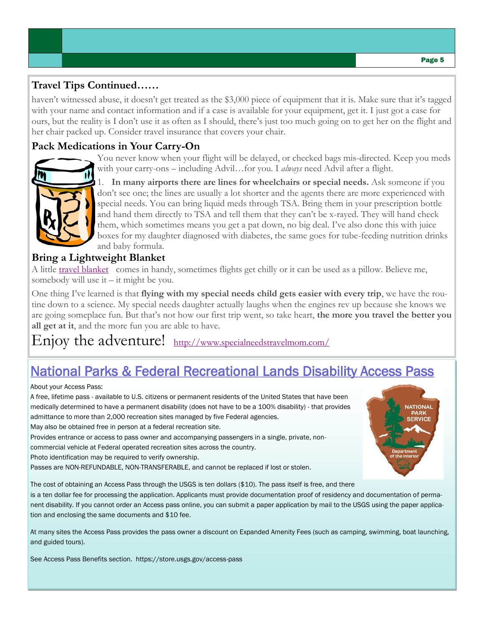#### **Travel Tips Continued……**

haven't witnessed abuse, it doesn't get treated as the \$3,000 piece of equipment that it is. Make sure that it's tagged with your name and contact information and if a case is available for your equipment, get it. I just got a case for ours, but the reality is I don't use it as often as I should, there's just too much going on to get her on the flight and her chair packed up. Consider travel insurance that covers your chair.

#### **Pack Medications in Your Carry-On**



You never know when your flight will be delayed, or checked bags mis-directed. Keep you meds with your carry-ons – including Advil…for you. I *always* need Advil after a flight.

1. **In many airports there are lines for wheelchairs or special needs.** Ask someone if you don't see one; the lines are usually a lot shorter and the agents there are more experienced with special needs. You can bring liquid meds through TSA. Bring them in your prescription bottle and hand them directly to TSA and tell them that they can't be x-rayed. They will hand check them, which sometimes means you get a pat down, no big deal. I've also done this with juice boxes for my daughter diagnosed with diabetes, the same goes for tube-feeding nutrition drinks and baby formula.

#### **Bring a Lightweight Blanket**

A little [travel blanket](http://www.amazon.com/gp/product/B00LWAC1UE/ref=as_li_tl?ie=UTF8&camp=1789&creative=390957&creativeASIN=B00LWAC1UE&linkCode=as2&tag=speneetramom-20&linkId=INGL3WB67MLWTGEV) comes in handy, sometimes flights get chilly or it can be used as a pillow. Believe me, somebody will use it  $-$  it might be you.

One thing I've learned is that **flying with my special needs child gets easier with every trip**, we have the routine down to a science. My special needs daughter actually laughs when the engines rev up because she knows we are going someplace fun. But that's not how our first trip went, so take heart, **the more you travel the better you all get at it**, and the more fun you are able to have.

# Enjoy the adventure! <http://www.specialneedstravelmom.com/>

# National Parks & Federal Recreational Lands Disability Access Pass

About your Access Pass:

A free, lifetime pass - available to U.S. citizens or permanent residents of the United States that have been medically determined to have a permanent disability (does not have to be a 100% disability) - that provides admittance to more than 2,000 recreation sites managed by five Federal agencies.

May also be obtained free in person at a federal recreation site.

Provides entrance or access to pass owner and accompanying passengers in a single, private, non-

commercial vehicle at Federal operated recreation sites across the country.

Photo identification may be required to verify ownership.

Passes are NON-REFUNDABLE, NON-TRANSFERABLE, and cannot be replaced if lost or stolen.

The cost of obtaining an Access Pass through the USGS is ten dollars (\$10). The pass itself is free, and there

is a ten dollar fee for processing the application. Applicants must provide documentation proof of residency and documentation of permanent disability. If you cannot order an Access pass online, you can submit a paper application by mail to the USGS using the paper application and enclosing the same documents and \$10 fee.

At many sites the Access Pass provides the pass owner a discount on Expanded Amenity Fees (such as camping, swimming, boat launching, and guided tours).

See Access Pass Benefits section. https://store.usgs.gov/access-pass